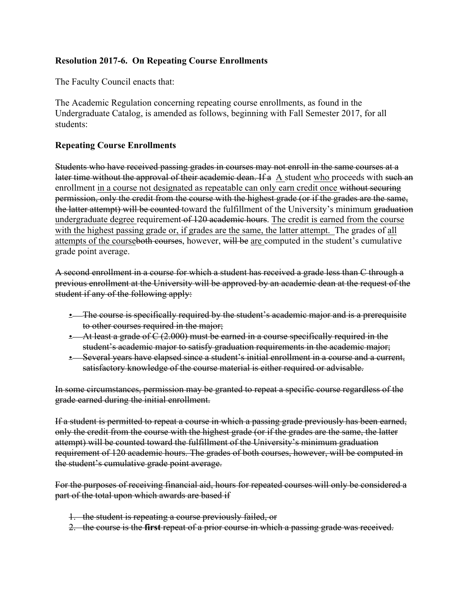## **Resolution 2017-6. On Repeating Course Enrollments**

The Faculty Council enacts that:

The Academic Regulation concerning repeating course enrollments, as found in the Undergraduate Catalog, is amended as follows, beginning with Fall Semester 2017, for all students:

## **Repeating Course Enrollments**

Students who have received passing grades in courses may not enroll in the same courses at a later time without the approval of their academic dean. If a A student who proceeds with such an enrollment in a course not designated as repeatable can only earn credit once without securing permission, only the credit from the course with the highest grade (or if the grades are the same, the latter attempt) will be counted toward the fulfillment of the University's minimum graduation undergraduate degree requirement of 120 academic hours. The credit is earned from the course with the highest passing grade or, if grades are the same, the latter attempt. The grades of all attempts of the courseboth courses, however, will be are computed in the student's cumulative grade point average.

A second enrollment in a course for which a student has received a grade less than C through a previous enrollment at the University will be approved by an academic dean at the request of the student if any of the following apply:

- The course is specifically required by the student's academic major and is a prerequisite to other courses required in the major;
- At least a grade of C (2.000) must be earned in a course specifically required in the student's academic major to satisfy graduation requirements in the academic major;
- Several years have elapsed since a student's initial enrollment in a course and a current, satisfactory knowledge of the course material is either required or advisable.

In some circumstances, permission may be granted to repeat a specific course regardless of the grade earned during the initial enrollment.

If a student is permitted to repeat a course in which a passing grade previously has been earned, only the credit from the course with the highest grade (or if the grades are the same, the latter attempt) will be counted toward the fulfillment of the University's minimum graduation requirement of 120 academic hours. The grades of both courses, however, will be computed in the student's cumulative grade point average.

For the purposes of receiving financial aid, hours for repeated courses will only be considered a part of the total upon which awards are based if

- 1. the student is repeating a course previously failed, or
- 2. the course is the **first** repeat of a prior course in which a passing grade was received.